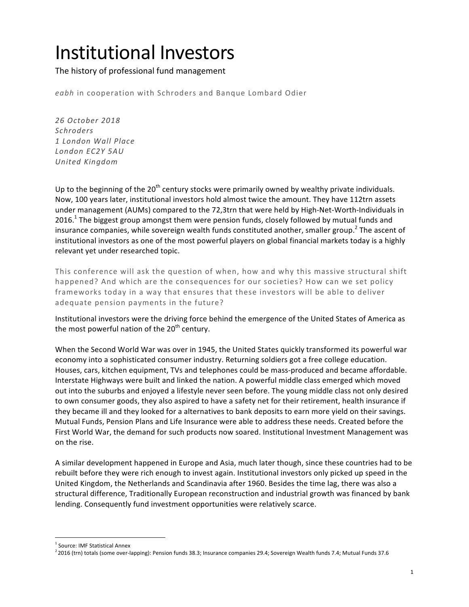## Institutional Investors

The history of professional fund management

eabh in cooperation with Schroders and Banque Lombard Odier

*26 October 2018 Schroders 1 London Wall Place London EC2Y 5AU United Kingdom*

Up to the beginning of the  $20^{th}$  century stocks were primarily owned by wealthy private individuals. Now, 100 years later, institutional investors hold almost twice the amount. They have 112trn assets under management (AUMs) compared to the 72,3trn that were held by High-Net-Worth-Individuals in 2016.<sup>1</sup> The biggest group amongst them were pension funds, closely followed by mutual funds and insurance companies, while sovereign wealth funds constituted another, smaller group.<sup>2</sup> The ascent of institutional investors as one of the most powerful players on global financial markets today is a highly relevant yet under researched topic.

This conference will ask the question of when, how and why this massive structural shift happened? And which are the consequences for our societies? How can we set policy frameworks today in a way that ensures that these investors will be able to deliver adequate pension payments in the future?

Institutional investors were the driving force behind the emergence of the United States of America as the most powerful nation of the  $20<sup>th</sup>$  century.

When the Second World War was over in 1945, the United States quickly transformed its powerful war economy into a sophisticated consumer industry. Returning soldiers got a free college education. Houses, cars, kitchen equipment, TVs and telephones could be mass-produced and became affordable. Interstate Highways were built and linked the nation. A powerful middle class emerged which moved out into the suburbs and enjoyed a lifestyle never seen before. The young middle class not only desired to own consumer goods, they also aspired to have a safety net for their retirement, health insurance if they became ill and they looked for a alternatives to bank deposits to earn more yield on their savings. Mutual Funds, Pension Plans and Life Insurance were able to address these needs. Created before the First World War, the demand for such products now soared. Institutional Investment Management was on the rise.

A similar development happened in Europe and Asia, much later though, since these countries had to be rebuilt before they were rich enough to invest again. Institutional investors only picked up speed in the United Kingdom, the Netherlands and Scandinavia after 1960. Besides the time lag, there was also a structural difference, Traditionally European reconstruction and industrial growth was financed by bank lending. Consequently fund investment opportunities were relatively scarce.

 

 $<sup>1</sup>$  Source: IMF Statistical Annex</sup>

 $^2$ 2016 (trn) totals (some over-lapping): Pension funds 38.3; Insurance companies 29.4; Sovereign Wealth funds 7.4; Mutual Funds 37.6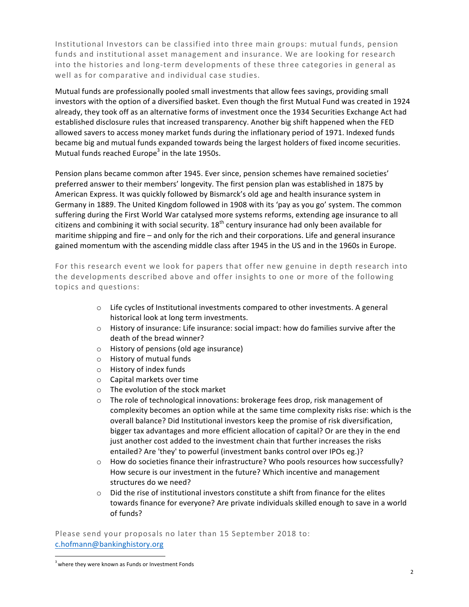Institutional Investors can be classified into three main groups: mutual funds, pension funds and institutional asset management and insurance. We are looking for research into the histories and long-term developments of these three categories in general as well as for comparative and individual case studies.

Mutual funds are professionally pooled small investments that allow fees savings, providing small investors with the option of a diversified basket. Even though the first Mutual Fund was created in 1924 already, they took off as an alternative forms of investment once the 1934 Securities Exchange Act had established disclosure rules that increased transparency. Another big shift happened when the FED allowed savers to access money market funds during the inflationary period of 1971. Indexed funds became big and mutual funds expanded towards being the largest holders of fixed income securities. Mutual funds reached Europe<sup>3</sup> in the late 1950s.

Pension plans became common after 1945. Ever since, pension schemes have remained societies' preferred answer to their members' longevity. The first pension plan was established in 1875 by American Express. It was quickly followed by Bismarck's old age and health insurance system in Germany in 1889. The United Kingdom followed in 1908 with its 'pay as you go' system. The common suffering during the First World War catalysed more systems reforms, extending age insurance to all citizens and combining it with social security.  $18<sup>th</sup>$  century insurance had only been available for maritime shipping and fire – and only for the rich and their corporations. Life and general insurance gained momentum with the ascending middle class after 1945 in the US and in the 1960s in Europe.

For this research event we look for papers that offer new genuine in depth research into the developments described above and offer insights to one or more of the following topics and questions:

- $\circ$  Life cycles of Institutional investments compared to other investments. A general historical look at long term investments.
- $\circ$  History of insurance: Life insurance: social impact: how do families survive after the death of the bread winner?
- $\circ$  History of pensions (old age insurance)
- $\circ$  History of mutual funds
- $\circ$  History of index funds
- $\circ$  Capital markets over time
- $\circ$  The evolution of the stock market
- $\circ$  The role of technological innovations: brokerage fees drop, risk management of complexity becomes an option while at the same time complexity risks rise: which is the overall balance? Did Institutional investors keep the promise of risk diversification, bigger tax advantages and more efficient allocation of capital? Or are they in the end just another cost added to the investment chain that further increases the risks entailed? Are 'they' to powerful (investment banks control over IPOs eg.)?
- $\circ$  How do societies finance their infrastructure? Who pools resources how successfully? How secure is our investment in the future? Which incentive and management structures do we need?
- $\circ$  Did the rise of institutional investors constitute a shift from finance for the elites towards finance for everyone? Are private individuals skilled enough to save in a world of funds?

Please send your proposals no later than 15 September 2018 to: c.hofmann@bankinghistory.org

 

 $3$  where they were known as Funds or Investment Fonds